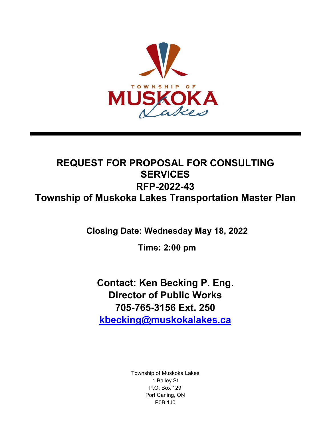

# **REQUEST FOR PROPOSAL FOR CONSULTING SERVICES RFP-2022-43 Township of Muskoka Lakes Transportation Master Plan**

**Closing Date: Wednesday May 18, 2022** 

**Time: 2:00 pm**

**Contact: Ken Becking P. Eng. Director of Public Works 705-765-3156 Ext. 250 [kbecking@muskokalakes.ca](mailto:kbecking@muskokalakes.ca)**

> Township of Muskoka Lakes 1 Bailey St P.O. Box 129 Port Carling, ON P0B 1J0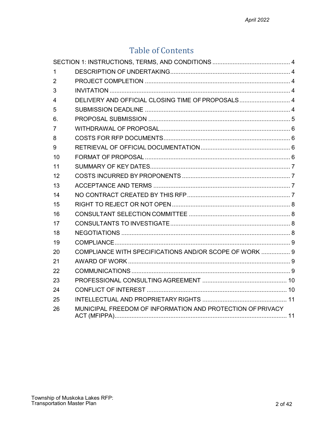# **Table of Contents**

| 1              |                                                            |  |
|----------------|------------------------------------------------------------|--|
| 2              |                                                            |  |
| 3              |                                                            |  |
| 4              | DELIVERY AND OFFICIAL CLOSING TIME OF PROPOSALS 4          |  |
| 5              |                                                            |  |
| 6.             |                                                            |  |
| $\overline{7}$ |                                                            |  |
| 8              |                                                            |  |
| 9              |                                                            |  |
| 10             |                                                            |  |
| 11             |                                                            |  |
| 12             |                                                            |  |
| 13             |                                                            |  |
| 14             |                                                            |  |
| 15             |                                                            |  |
| 16             |                                                            |  |
| 17             |                                                            |  |
| 18             |                                                            |  |
| 19             |                                                            |  |
| 20             | COMPLIANCE WITH SPECIFICATIONS AND/OR SCOPE OF WORK  9     |  |
| 21             |                                                            |  |
| 22             |                                                            |  |
| 23             |                                                            |  |
| 24             |                                                            |  |
| 25             |                                                            |  |
| 26             | MUNICIPAL FREEDOM OF INFORMATION AND PROTECTION OF PRIVACY |  |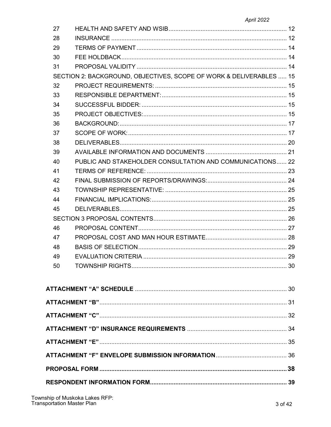| 27 |                                                                     |  |
|----|---------------------------------------------------------------------|--|
| 28 |                                                                     |  |
| 29 |                                                                     |  |
| 30 |                                                                     |  |
| 31 |                                                                     |  |
|    | SECTION 2: BACKGROUND, OBJECTIVES, SCOPE OF WORK & DELIVERABLES  15 |  |
| 32 |                                                                     |  |
| 33 |                                                                     |  |
| 34 |                                                                     |  |
| 35 |                                                                     |  |
| 36 |                                                                     |  |
| 37 |                                                                     |  |
| 38 |                                                                     |  |
| 39 |                                                                     |  |
| 40 | PUBLIC AND STAKEHOLDER CONSULTATION AND COMMUNICATIONS 22           |  |
| 41 |                                                                     |  |
| 42 |                                                                     |  |
| 43 |                                                                     |  |
| 44 |                                                                     |  |
| 45 |                                                                     |  |
|    |                                                                     |  |
| 46 |                                                                     |  |
| 47 |                                                                     |  |
| 48 |                                                                     |  |
| 49 |                                                                     |  |
| 50 |                                                                     |  |
|    |                                                                     |  |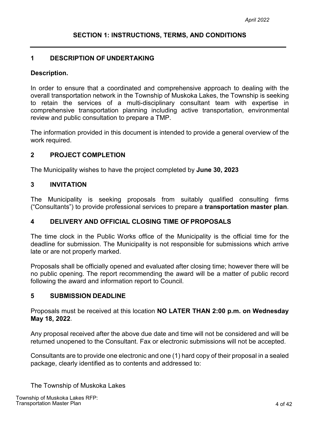#### <span id="page-3-1"></span><span id="page-3-0"></span>**1 DESCRIPTION OF UNDERTAKING**

#### **Description.**

In order to ensure that a coordinated and comprehensive approach to dealing with the overall transportation network in the Township of Muskoka Lakes, the Township is seeking to retain the services of a multi-disciplinary consultant team with expertise in comprehensive transportation planning including active transportation, environmental review and public consultation to prepare a TMP.

The information provided in this document is intended to provide a general overview of the work required.

## <span id="page-3-2"></span>**2 PROJECT COMPLETION**

The Municipality wishes to have the project completed by **June 30, 2023**

## <span id="page-3-3"></span>**3 INVITATION**

The Municipality is seeking proposals from suitably qualified consulting firms ("Consultants") to provide professional services to prepare a **transportation master plan**.

#### <span id="page-3-4"></span>**4 DELIVERY AND OFFICIAL CLOSING TIME OFPROPOSALS**

The time clock in the Public Works office of the Municipality is the official time for the deadline for submission. The Municipality is not responsible for submissions which arrive late or are not properly marked.

Proposals shall be officially opened and evaluated after closing time; however there will be no public opening. The report recommending the award will be a matter of public record following the award and information report to Council.

#### <span id="page-3-5"></span>**5 SUBMISSION DEADLINE**

Proposals must be received at this location **NO LATER THAN 2:00 p.m. on Wednesday May 18, 2022**.

Any proposal received after the above due date and time will not be considered and will be returned unopened to the Consultant. Fax or electronic submissions will not be accepted.

Consultants are to provide one electronic and one (1) hard copy of their proposal in a sealed package, clearly identified as to contents and addressed to:

The Township of Muskoka Lakes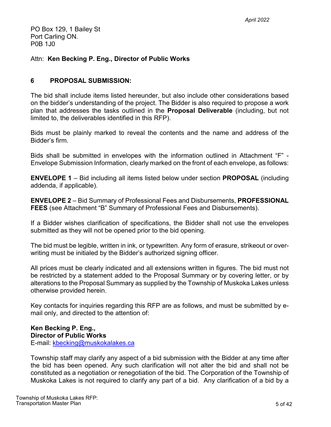PO Box 129, 1 Bailey St Port Carling ON. P0B 1J0

# Attn: **Ken Becking P. Eng., Director of Public Works**

# **6 PROPOSAL SUBMISSION:**

The bid shall include items listed hereunder, but also include other considerations based on the bidder's understanding of the project. The Bidder is also required to propose a work plan that addresses the tasks outlined in the **Proposal Deliverable** (including, but not limited to, the deliverables identified in this RFP).

Bids must be plainly marked to reveal the contents and the name and address of the Bidder's firm.

Bids shall be submitted in envelopes with the information outlined in Attachment "F" - Envelope Submission Information, clearly marked on the front of each envelope, as follows:

**ENVELOPE 1** – Bid including all items listed below under section **PROPOSAL** (including addenda, if applicable).

**ENVELOPE 2** – Bid Summary of Professional Fees and Disbursements, **PROFESSIONAL FEES** (see Attachment "B" Summary of Professional Fees and Disbursements).

If a Bidder wishes clarification of specifications, the Bidder shall not use the envelopes submitted as they will not be opened prior to the bid opening.

The bid must be legible, written in ink, or typewritten. Any form of erasure, strikeout or overwriting must be initialed by the Bidder's authorized signing officer.

All prices must be clearly indicated and all extensions written in figures. The bid must not be restricted by a statement added to the Proposal Summary or by covering letter, or by alterations to the Proposal Summary as supplied by the Township of Muskoka Lakes unless otherwise provided herein.

Key contacts for inquiries regarding this RFP are as follows, and must be submitted by email only, and directed to the attention of:

# **Ken Becking P. Eng.,**

**Director of Public Works**

E-mail: kbecking@muskokalakes.ca

Township staff may clarify any aspect of a bid submission with the Bidder at any time after the bid has been opened. Any such clarification will not alter the bid and shall not be constituted as a negotiation or renegotiation of the bid. The Corporation of the Township of Muskoka Lakes is not required to clarify any part of a bid. Any clarification of a bid by a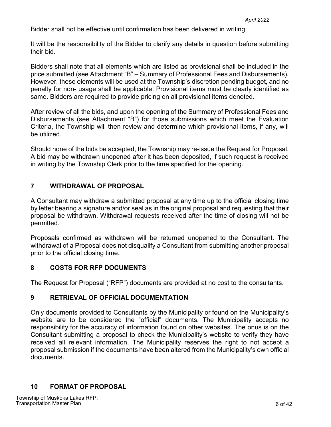Bidder shall not be effective until confirmation has been delivered in writing.

It will be the responsibility of the Bidder to clarify any details in question before submitting their bid.

Bidders shall note that all elements which are listed as provisional shall be included in the price submitted (see Attachment "B" – Summary of Professional Fees and Disbursements). However, these elements will be used at the Township's discretion pending budget, and no penalty for non- usage shall be applicable. Provisional items must be clearly identified as same. Bidders are required to provide pricing on all provisional items denoted.

After review of all the bids, and upon the opening of the Summary of Professional Fees and Disbursements (see Attachment "B") for those submissions which meet the Evaluation Criteria, the Township will then review and determine which provisional items, if any, will be utilized.

Should none of the bids be accepted, the Township may re-issue the Request for Proposal. A bid may be withdrawn unopened after it has been deposited, if such request is received in writing by the Township Clerk prior to the time specified for the opening.

# <span id="page-5-0"></span>**7 WITHDRAWAL OF PROPOSAL**

A Consultant may withdraw a submitted proposal at any time up to the official closing time by letter bearing a signature and/or seal as in the original proposal and requesting that their proposal be withdrawn. Withdrawal requests received after the time of closing will not be permitted.

Proposals confirmed as withdrawn will be returned unopened to the Consultant. The withdrawal of a Proposal does not disqualify a Consultant from submitting another proposal prior to the official closing time.

# <span id="page-5-1"></span>**8 COSTS FOR RFP DOCUMENTS**

The Request for Proposal ("RFP") documents are provided at no cost to the consultants.

# <span id="page-5-2"></span>**9 RETRIEVAL OF OFFICIAL DOCUMENTATION**

Only documents provided to Consultants by the Municipality or found on the Municipality's website are to be considered the "official" documents. The Municipality accepts no responsibility for the accuracy of information found on other websites. The onus is on the Consultant submitting a proposal to check the Municipality's website to verify they have received all relevant information. The Municipality reserves the right to not accept a proposal submission if the documents have been altered from the Municipality's own official documents.

# **10 FORMAT OF PROPOSAL**

<span id="page-5-3"></span>Township of Muskoka Lakes RFP: Transportation Master Plan 6 of 42 of 42 of 42 of 42 of 42 of 42 of 42 of 42 of 42 of 42 of 42 of 42 of 42 of 42 of 42 of 42 of 42 of 42 of 42 of 42 of 42 of 42 of 42 of 42 of 42 of 42 of 42 of 42 of 42 of 42 of 42 of 42 o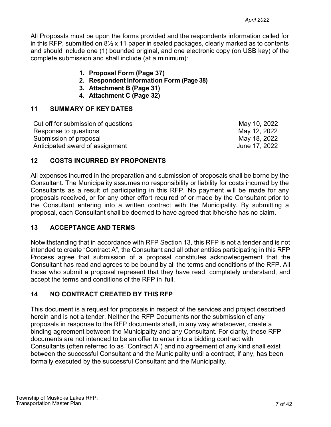All Proposals must be upon the forms provided and the respondents information called for in this RFP, submitted on 8½ x 11 paper in sealed packages, clearly marked as to contents and should include one (1) bounded original, and one electronic copy (on USB key) of the complete submission and shall include (at a minimum):

- **1. Proposal Form (Page 37)**
- **2. Respondent Information Form (Page 38)**
- **3. Attachment B (Page 31)**
- **4. Attachment C (Page 32)**

# <span id="page-6-0"></span>**11 SUMMARY OF KEY DATES**

| Cut off for submission of questions | May 10, 2022  |
|-------------------------------------|---------------|
| Response to questions               | May 12, 2022  |
| Submission of proposal              | May 18, 2022  |
| Anticipated award of assignment     | June 17, 2022 |

# <span id="page-6-1"></span>**12 COSTS INCURRED BY PROPONENTS**

All expenses incurred in the preparation and submission of proposals shall be borne by the Consultant. The Municipality assumes no responsibility or liability for costs incurred by the Consultants as a result of participating in this RFP. No payment will be made for any proposals received, or for any other effort required of or made by the Consultant prior to the Consultant entering into a written contract with the Municipality. By submitting a proposal, each Consultant shall be deemed to have agreed that it/he/she has no claim.

# <span id="page-6-2"></span>**13 ACCEPTANCE AND TERMS**

Notwithstanding that in accordance with RFP Section 13, this RFP is not a tender and is not intended to create "Contract A", the Consultant and all other entities participating in this RFP Process agree that submission of a proposal constitutes acknowledgement that the Consultant has read and agrees to be bound by all the terms and conditions of the RFP. All those who submit a proposal represent that they have read, completely understand, and accept the terms and conditions of the RFP in full.

# <span id="page-6-3"></span>**14 NO CONTRACT CREATED BY THIS RFP**

This document is a request for proposals in respect of the services and project described herein and is not a tender. Neither the RFP Documents nor the submission of any proposals in response to the RFP documents shall, in any way whatsoever, create a binding agreement between the Municipality and any Consultant. For clarity, these RFP documents are not intended to be an offer to enter into a bidding contract with Consultants (often referred to as "Contract A") and no agreement of any kind shall exist between the successful Consultant and the Municipality until a contract, if any, has been formally executed by the successful Consultant and the Municipality.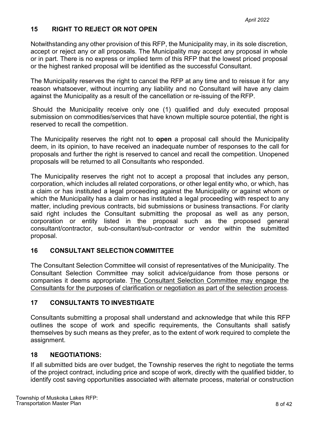# <span id="page-7-0"></span>**15 RIGHT TO REJECT OR NOT OPEN**

Notwithstanding any other provision of this RFP, the Municipality may, in its sole discretion, accept or reject any or all proposals. The Municipality may accept any proposal in whole or in part. There is no express or implied term of this RFP that the lowest priced proposal or the highest ranked proposal will be identified as the successful Consultant.

The Municipality reserves the right to cancel the RFP at any time and to reissue it for any reason whatsoever, without incurring any liability and no Consultant will have any claim against the Municipality as a result of the cancellation or re-issuing of the RFP.

Should the Municipality receive only one (1) qualified and duly executed proposal submission on commodities/services that have known multiple source potential, the right is reserved to recall the competition.

The Municipality reserves the right not to **open** a proposal call should the Municipality deem, in its opinion, to have received an inadequate number of responses to the call for proposals and further the right is reserved to cancel and recall the competition. Unopened proposals will be returned to all Consultants who responded.

The Municipality reserves the right not to accept a proposal that includes any person, corporation, which includes all related corporations, or other legal entity who, or which, has a claim or has instituted a legal proceeding against the Municipality or against whom or which the Municipality has a claim or has instituted a legal proceeding with respect to any matter, including previous contracts, bid submissions or business transactions. For clarity said right includes the Consultant submitting the proposal as well as any person, corporation or entity listed in the proposal such as the proposed general consultant/contractor, sub-consultant/sub-contractor or vendor within the submitted proposal.

#### <span id="page-7-1"></span>**16 CONSULTANT SELECTION COMMITTEE**

The Consultant Selection Committee will consist of representatives of the Municipality. The Consultant Selection Committee may solicit advice/guidance from those persons or companies it deems appropriate. The Consultant Selection Committee may engage the Consultants for the purposes of clarification or negotiation as part of the selection process.

#### <span id="page-7-2"></span>**17 CONSULTANTS TO INVESTIGATE**

Consultants submitting a proposal shall understand and acknowledge that while this RFP outlines the scope of work and specific requirements, the Consultants shall satisfy themselves by such means as they prefer, as to the extent of work required to complete the assignment.

# **18 NEGOTIATIONS:**

If all submitted bids are over budget, the Township reserves the right to negotiate the terms of the project contract, including price and scope of work, directly with the qualified bidder, to identify cost saving opportunities associated with alternate process, material or construction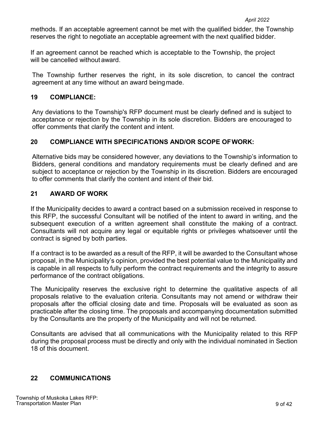methods. If an acceptable agreement cannot be met with the qualified bidder, the Township reserves the right to negotiate an acceptable agreement with the next qualified bidder.

If an agreement cannot be reached which is acceptable to the Township, the project will be cancelled without award.

The Township further reserves the right, in its sole discretion, to cancel the contract agreement at any time without an award beingmade.

# **19 COMPLIANCE:**

Any deviations to the Township's RFP document must be clearly defined and is subject to acceptance or rejection by the Township in its sole discretion. Bidders are encouraged to offer comments that clarify the content and intent.

# **20 COMPLIANCE WITH SPECIFICATIONS AND/OR SCOPE OFWORK:**

Alternative bids may be considered however, any deviations to the Township's information to Bidders, general conditions and mandatory requirements must be clearly defined and are subject to acceptance or rejection by the Township in its discretion. Bidders are encouraged to offer comments that clarify the content and intent of their bid.

# <span id="page-8-0"></span>**21 AWARD OF WORK**

If the Municipality decides to award a contract based on a submission received in response to this RFP, the successful Consultant will be notified of the intent to award in writing, and the subsequent execution of a written agreement shall constitute the making of a contract. Consultants will not acquire any legal or equitable rights or privileges whatsoever until the contract is signed by both parties.

If a contract is to be awarded as a result of the RFP, it will be awarded to the Consultant whose proposal, in the Municipality's opinion, provided the best potential value to the Municipality and is capable in all respects to fully perform the contract requirements and the integrity to assure performance of the contract obligations.

The Municipality reserves the exclusive right to determine the qualitative aspects of all proposals relative to the evaluation criteria. Consultants may not amend or withdraw their proposals after the official closing date and time. Proposals will be evaluated as soon as practicable after the closing time. The proposals and accompanying documentation submitted by the Consultants are the property of the Municipality and will not be returned.

Consultants are advised that all communications with the Municipality related to this RFP during the proposal process must be directly and only with the individual nominated in Section 18 of this document.

# <span id="page-8-1"></span>**22 COMMUNICATIONS**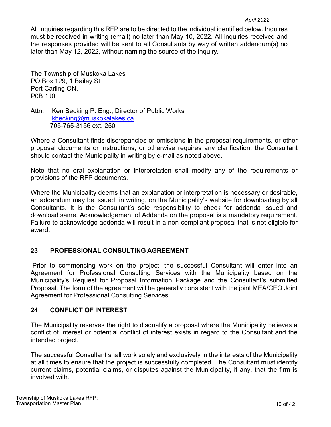#### *April 2022*

All inquiries regarding this RFP are to be directed to the individual identified below. Inquires must be received in writing (email) no later than May 10, 2022. All inquiries received and the responses provided will be sent to all Consultants by way of written addendum(s) no later than May 12, 2022, without naming the source of the inquiry.

The Township of Muskoka Lakes PO Box 129, 1 Bailey St Port Carling ON. P0B 1J0

Attn: Ken Becking P. Eng., Director of Public Works kbecking@muskokalakes.ca 705-765-3156 ext. 250

Where a Consultant finds discrepancies or omissions in the proposal requirements, or other proposal documents or instructions, or otherwise requires any clarification, the Consultant should contact the Municipality in writing by e-mail as noted above.

Note that no oral explanation or interpretation shall modify any of the requirements or provisions of the RFP documents.

Where the Municipality deems that an explanation or interpretation is necessary or desirable, an addendum may be issued, in writing, on the Municipality's website for downloading by all Consultants. It is the Consultant's sole responsibility to check for addenda issued and download same. Acknowledgement of Addenda on the proposal is a mandatory requirement. Failure to acknowledge addenda will result in a non-compliant proposal that is not eligible for award.

# <span id="page-9-0"></span>**23 PROFESSIONAL CONSULTING AGREEMENT**

Prior to commencing work on the project, the successful Consultant will enter into an Agreement for Professional Consulting Services with the Municipality based on the Municipality's Request for Proposal Information Package and the Consultant's submitted Proposal. The form of the agreement will be generally consistent with the joint MEA/CEO Joint Agreement for Professional Consulting Services

#### <span id="page-9-1"></span>**24 CONFLICT OF INTEREST**

The Municipality reserves the right to disqualify a proposal where the Municipality believes a conflict of interest or potential conflict of interest exists in regard to the Consultant and the intended project.

The successful Consultant shall work solely and exclusively in the interests of the Municipality at all times to ensure that the project is successfully completed. The Consultant must identify current claims, potential claims, or disputes against the Municipality, if any, that the firm is involved with.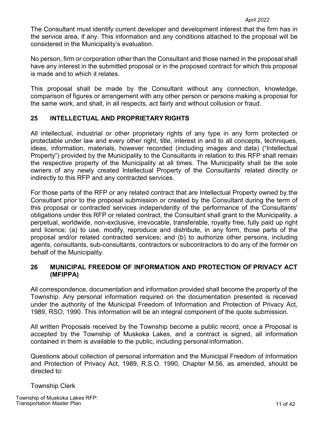#### *April 2022*

The Consultant must identify current developer and development interest that the firm has in the service area, if any. This information and any conditions attached to the proposal will be considered in the Municipality's evaluation.

No person, firm or corporation other than the Consultant and those named in the proposal shall have any interest in the submitted proposal or in the proposed contract for which this proposal is made and to which it relates.

This proposal shall be made by the Consultant without any connection, knowledge, comparison of figures or arrangement with any other person or persons making a proposal for the same work, and shall, in all respects, act fairly and without collusion or fraud.

## <span id="page-10-0"></span>**25 INTELLECTUAL AND PROPRIETARY RIGHTS**

All intellectual, industrial or other proprietary rights of any type in any form protected or protectable under law and every other right, title, interest in and to all concepts, techniques, ideas, information, materials, however recorded (including images and data) ("Intellectual Property") provided by the Municipality to the Consultants in relation to this RFP shall remain the respective property of the Municipality at all times. The Municipality shall be the sole owners of any newly created Intellectual Property of the Consultants' related directly or indirectly to this RFP and any contracted services.

For those parts of the RFP or any related contract that are Intellectual Property owned by the Consultant prior to the proposal submission or created by the Consultant during the term of this proposal or contracted services independently of the performance of the Consultants' obligations under this RFP or related contract, the Consultant shall grant to the Municipality, a perpetual, worldwide, non-exclusive, irrevocable, transferable, royalty free, fully paid up right and licence; (a) to use, modify, reproduce and distribute, in any form, those parts of the proposal and/or related contracted services; and (b) to authorize other persons, including agents, consultants, sub-consultants, contractors or subcontractors to do any of the former on behalf of the Municipality.

## <span id="page-10-1"></span>**26 MUNICIPAL FREEDOM OF INFORMATION AND PROTECTION OF PRIVACY ACT (MFIPPA)**

All correspondence, documentation and information provided shall become the property of the Township. Any personal information required on the documentation presented is received under the authority of the Municipal Freedom of Information and Protection of Privacy Act, 1989, RSO, 1990. This information will be an integral component of the quote submission.

All written Proposals received by the Township become a public record, once a Proposal is accepted by the Township of Muskoka Lakes, and a contract is signed, all information contained in them is available to the public, including personal information.

Questions about collection of personal information and the Municipal Freedom of Information and Protection of Privacy Act, 1989, R.S.O. 1990, Chapter M.56, as amended, should be directed to:

#### Township Clerk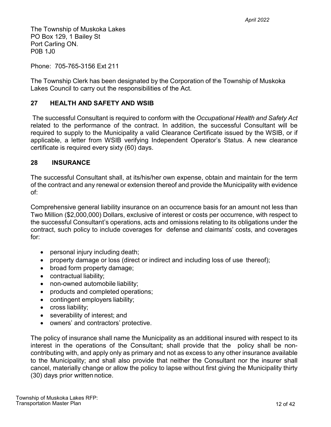The Township of Muskoka Lakes PO Box 129, 1 Bailey St Port Carling ON. P0B 1J0

Phone: 705-765-3156 Ext 211

The Township Clerk has been designated by the Corporation of the Township of Muskoka Lakes Council to carry out the responsibilities of the Act.

# <span id="page-11-0"></span>**27 HEALTH AND SAFETY AND WSIB**

The successful Consultant is required to conform with the *Occupational Health and Safety Act*  related to the performance of the contract. In addition, the successful Consultant will be required to supply to the Municipality a valid Clearance Certificate issued by the WSIB, or if applicable, a letter from WSIB verifying Independent Operator's Status. A new clearance certificate is required every sixty (60) days.

#### <span id="page-11-1"></span>**28 INSURANCE**

The successful Consultant shall, at its/his/her own expense, obtain and maintain for the term of the contract and any renewal or extension thereof and provide the Municipality with evidence of:

Comprehensive general liability insurance on an occurrence basis for an amount not less than Two Million (\$2,000,000) Dollars, exclusive of interest or costs per occurrence, with respect to the successful Consultant's operations, acts and omissions relating to its obligations under the contract, such policy to include coverages for defense and claimants' costs, and coverages for:

- personal injury including death;
- property damage or loss (direct or indirect and including loss of use thereof);
- broad form property damage;
- contractual liability;
- non-owned automobile liability;
- products and completed operations;
- contingent employers liability;
- cross liability;
- severability of interest; and
- owners' and contractors' protective.

The policy of insurance shall name the Municipality as an additional insured with respect to its interest in the operations of the Consultant; shall provide that the policy shall be noncontributing with, and apply only as primary and not as excess to any other insurance available to the Municipality; and shall also provide that neither the Consultant nor the insurer shall cancel, materially change or allow the policy to lapse without first giving the Municipality thirty (30) days prior written notice.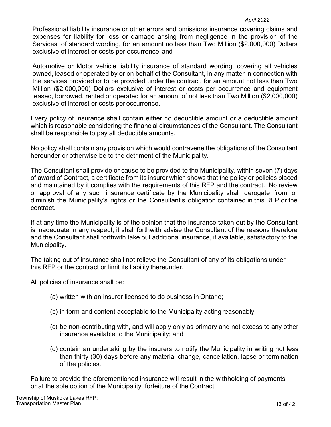#### *April 2022*

Professional liability insurance or other errors and omissions insurance covering claims and expenses for liability for loss or damage arising from negligence in the provision of the Services, of standard wording, for an amount no less than Two Million (\$2,000,000) Dollars exclusive of interest or costs per occurrence; and

Automotive or Motor vehicle liability insurance of standard wording, covering all vehicles owned, leased or operated by or on behalf of the Consultant, in any matter in connection with the services provided or to be provided under the contract, for an amount not less than Two Million (\$2,000,000) Dollars exclusive of interest or costs per occurrence and equipment leased, borrowed, rented or operated for an amount of not less than Two Million (\$2,000,000) exclusive of interest or costs per occurrence.

Every policy of insurance shall contain either no deductible amount or a deductible amount which is reasonable considering the financial circumstances of the Consultant. The Consultant shall be responsible to pay all deductible amounts.

No policy shall contain any provision which would contravene the obligations of the Consultant hereunder or otherwise be to the detriment of the Municipality.

The Consultant shall provide or cause to be provided to the Municipality, within seven (7) days of award of Contract, a certificate from its insurer which shows that the policy or policies placed and maintained by it complies with the requirements of this RFP and the contract. No review or approval of any such insurance certificate by the Municipality shall derogate from or diminish the Municipality's rights or the Consultant's obligation contained in this RFP or the contract.

If at any time the Municipality is of the opinion that the insurance taken out by the Consultant is inadequate in any respect, it shall forthwith advise the Consultant of the reasons therefore and the Consultant shall forthwith take out additional insurance, if available, satisfactory to the Municipality.

The taking out of insurance shall not relieve the Consultant of any of its obligations under this RFP or the contract or limit its liability thereunder.

All policies of insurance shall be:

- (a) written with an insurer licensed to do business in Ontario;
- (b) in form and content acceptable to the Municipality acting reasonably;
- (c) be non-contributing with, and will apply only as primary and not excess to any other insurance available to the Municipality; and
- (d) contain an undertaking by the insurers to notify the Municipality in writing not less than thirty (30) days before any material change, cancellation, lapse or termination of the policies.

Failure to provide the aforementioned insurance will result in the withholding of payments or at the sole option of the Municipality, forfeiture of the Contract.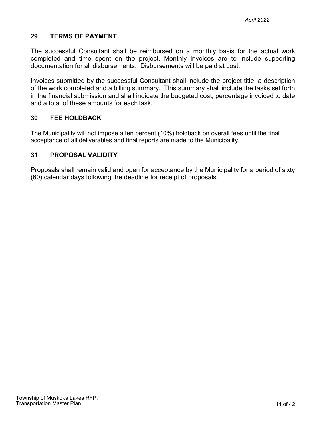#### <span id="page-13-0"></span>**29 TERMS OF PAYMENT**

The successful Consultant shall be reimbursed on a monthly basis for the actual work completed and time spent on the project. Monthly invoices are to include supporting documentation for all disbursements. Disbursements will be paid at cost.

Invoices submitted by the successful Consultant shall include the project title, a description of the work completed and a billing summary. This summary shall include the tasks set forth in the financial submission and shall indicate the budgeted cost, percentage invoiced to date and a total of these amounts for each task.

## <span id="page-13-1"></span>**30 FEE HOLDBACK**

The Municipality will not impose a ten percent (10%) holdback on overall fees until the final acceptance of all deliverables and final reports are made to the Municipality.

## <span id="page-13-2"></span>**31 PROPOSAL VALIDITY**

Proposals shall remain valid and open for acceptance by the Municipality for a period of sixty (60) calendar days following the deadline for receipt of proposals.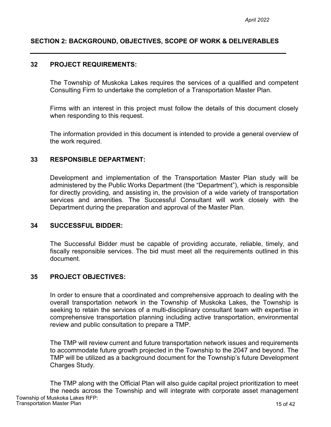# <span id="page-14-0"></span>**SECTION 2: BACKGROUND, OBJECTIVES, SCOPE OF WORK & DELIVERABLES**

#### <span id="page-14-1"></span>**32 PROJECT REQUIREMENTS:**

The Township of Muskoka Lakes requires the services of a qualified and competent Consulting Firm to undertake the completion of a Transportation Master Plan.

Firms with an interest in this project must follow the details of this document closely when responding to this request.

The information provided in this document is intended to provide a general overview of the work required.

#### <span id="page-14-2"></span>**33 RESPONSIBLE DEPARTMENT:**

Development and implementation of the Transportation Master Plan study will be administered by the Public Works Department (the "Department"), which is responsible for directly providing, and assisting in, the provision of a wide variety of transportation services and amenities. The Successful Consultant will work closely with the Department during the preparation and approval of the Master Plan.

#### <span id="page-14-3"></span>**34 SUCCESSFUL BIDDER:**

The Successful Bidder must be capable of providing accurate, reliable, timely, and fiscally responsible services. The bid must meet all the requirements outlined in this document.

#### <span id="page-14-4"></span>**35 PROJECT OBJECTIVES:**

In order to ensure that a coordinated and comprehensive approach to dealing with the overall transportation network in the Township of Muskoka Lakes, the Township is seeking to retain the services of a multi-disciplinary consultant team with expertise in comprehensive transportation planning including active transportation, environmental review and public consultation to prepare a TMP.

The TMP will review current and future transportation network issues and requirements to accommodate future growth projected in the Township to the 2047 and beyond. The TMP will be utilized as a background document for the Township's future Development Charges Study.

Township of Muskoka Lakes RFP: Transportation Master Plan 2008 and 2009 and 2009 and 2009 and 2009 and 2009 and 2009 and 2009 and 2009 and 20 The TMP along with the Official Plan will also guide capital project prioritization to meet the needs across the Township and will integrate with corporate asset management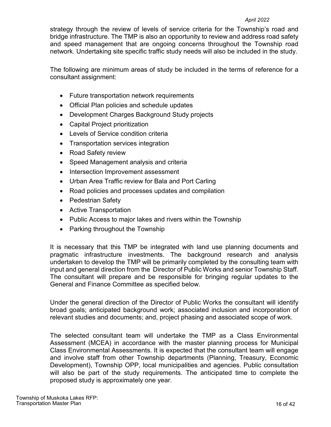#### *April 2022*

strategy through the review of levels of service criteria for the Township's road and bridge infrastructure. The TMP is also an opportunity to review and address road safety and speed management that are ongoing concerns throughout the Township road network. Undertaking site specific traffic study needs will also be included in the study.

The following are minimum areas of study be included in the terms of reference for a consultant assignment:

- Future transportation network requirements
- Official Plan policies and schedule updates
- Development Charges Background Study projects
- Capital Project prioritization
- Levels of Service condition criteria
- Transportation services integration
- Road Safety review
- Speed Management analysis and criteria
- Intersection Improvement assessment
- Urban Area Traffic review for Bala and Port Carling
- Road policies and processes updates and compilation
- Pedestrian Safety
- Active Transportation
- Public Access to major lakes and rivers within the Township
- Parking throughout the Township

It is necessary that this TMP be integrated with land use planning documents and pragmatic infrastructure investments. The background research and analysis undertaken to develop the TMP will be primarily completed by the consulting team with input and general direction from the Director of Public Works and senior Township Staff. The consultant will prepare and be responsible for bringing regular updates to the General and Finance Committee as specified below.

Under the general direction of the Director of Public Works the consultant will identify broad goals; anticipated background work; associated inclusion and incorporation of relevant studies and documents; and, project phasing and associated scope of work.

The selected consultant team will undertake the TMP as a Class Environmental Assessment (MCEA) in accordance with the master planning process for Municipal Class Environmental Assessments. It is expected that the consultant team will engage and involve staff from other Township departments (Planning, Treasury, Economic Development), Township OPP, local municipalities and agencies. Public consultation will also be part of the study requirements. The anticipated time to complete the proposed study is approximately one year.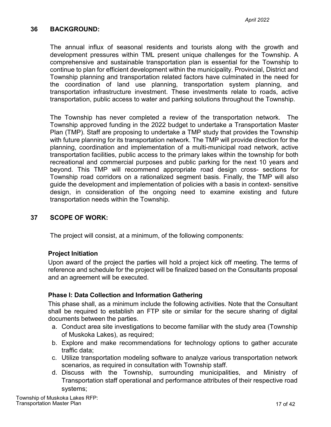## <span id="page-16-0"></span>**36 BACKGROUND:**

The annual influx of seasonal residents and tourists along with the growth and development pressures within TML present unique challenges for the Township. A comprehensive and sustainable transportation plan is essential for the Township to continue to plan for efficient development within the municipality. Provincial, District and Township planning and transportation related factors have culminated in the need for the coordination of land use planning, transportation system planning, and transportation infrastructure investment. These investments relate to roads, active transportation, public access to water and parking solutions throughout the Township.

The Township has never completed a review of the transportation network. The Township approved funding in the 2022 budget to undertake a Transportation Master Plan (TMP). Staff are proposing to undertake a TMP study that provides the Township with future planning for its transportation network. The TMP will provide direction for the planning, coordination and implementation of a multi-municipal road network, active transportation facilities, public access to the primary lakes within the township for both recreational and commercial purposes and public parking for the next 10 years and beyond. This TMP will recommend appropriate road design cross- sections for Township road corridors on a rationalized segment basis. Finally, the TMP will also guide the development and implementation of policies with a basis in context- sensitive design, in consideration of the ongoing need to examine existing and future transportation needs within the Township.

#### <span id="page-16-1"></span>**37 SCOPE OF WORK:**

The project will consist, at a minimum, of the following components:

#### **Project Initiation**

Upon award of the project the parties will hold a project kick off meeting. The terms of reference and schedule for the project will be finalized based on the Consultants proposal and an agreement will be executed.

#### **Phase I: Data Collection and Information Gathering**

This phase shall, as a minimum include the following activities. Note that the Consultant shall be required to establish an FTP site or similar for the secure sharing of digital documents between the parties.

- a. Conduct area site investigations to become familiar with the study area (Township of Muskoka Lakes), as required;
- b. Explore and make recommendations for technology options to gather accurate traffic data;
- c. Utilize transportation modeling software to analyze various transportation network scenarios, as required in consultation with Township staff.
- d. Discuss with the Township, surrounding municipalities, and Ministry of Transportation staff operational and performance attributes of their respective road systems;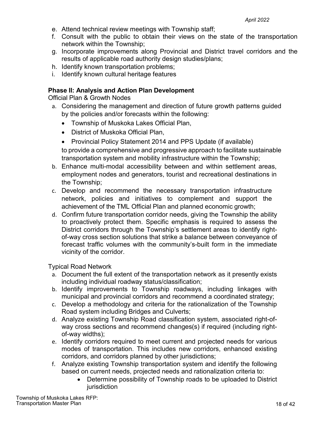- e. Attend technical review meetings with Township staff;
- f. Consult with the public to obtain their views on the state of the transportation network within the Township;
- g. Incorporate improvements along Provincial and District travel corridors and the results of applicable road authority design studies/plans;
- h. Identify known transportation problems;
- i. Identify known cultural heritage features

## **Phase II: Analysis and Action Plan Development**

Official Plan & Growth Nodes

- a. Considering the management and direction of future growth patterns guided by the policies and/or forecasts within the following:
	- Township of Muskoka Lakes Official Plan,
	- District of Muskoka Official Plan,
	- Provincial Policy Statement 2014 and PPS Update (if available)

to provide a comprehensive and progressive approach to facilitate sustainable transportation system and mobility infrastructure within the Township;

- b. Enhance multi-modal accessibility between and within settlement areas, employment nodes and generators, tourist and recreational destinations in the Township;
- c. Develop and recommend the necessary transportation infrastructure network, policies and initiatives to complement and support the achievement of the TML Official Plan and planned economic growth;
- d. Confirm future transportation corridor needs, giving the Township the ability to proactively protect them. Specific emphasis is required to assess the District corridors through the Township's settlement areas to identify rightof-way cross section solutions that strike a balance between conveyance of forecast traffic volumes with the community's-built form in the immediate vicinity of the corridor.

Typical Road Network

- a. Document the full extent of the transportation network as it presently exists including individual roadway status/classification;
- b. Identify improvements to Township roadways, including linkages with municipal and provincial corridors and recommend a coordinated strategy;
- c. Develop a methodology and criteria for the rationalization of the Township Road system including Bridges and Culverts;
- d. Analyze existing Township Road classification system, associated right-ofway cross sections and recommend changes(s) if required (including rightof-way widths);
- e. Identify corridors required to meet current and projected needs for various modes of transportation. This includes new corridors, enhanced existing corridors, and corridors planned by other jurisdictions;
- f. Analyze existing Township transportation system and identify the following based on current needs, projected needs and rationalization criteria to:
	- Determine possibility of Township roads to be uploaded to District **jurisdiction**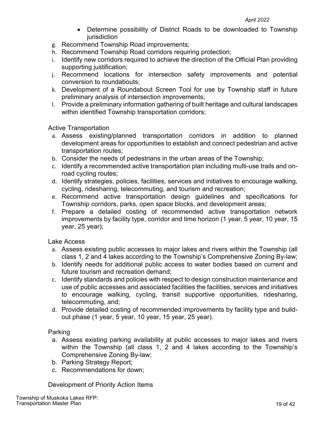- Determine possibility of District Roads to be downloaded to Township **jurisdiction**
- g. Recommend Township Road improvements;
- h. Recommend Township Road corridors requiring protection;
- i. Identify new corridors required to achieve the direction of the Official Plan providing supporting justification;
- j. Recommend locations for intersection safety improvements and potential conversion to roundabouts;
- k. Development of a Roundabout Screen Tool for use by Township staff in future preliminary analysis of intersection improvements;
- l. Provide a preliminary information gathering of built heritage and cultural landscapes within identified Township transportation corridors;

Active Transportation

- a. Assess existing/planned transportation corridors in addition to planned development areas for opportunities to establish and connect pedestrian and active transportation routes;
- b. Consider the needs of pedestrians in the urban areas of the Township;
- c. Identify a recommended active transportation plan including multi-use trails and onroad cycling routes;
- d. Identify strategies, policies, facilities, services and initiatives to encourage walking, cycling, ridesharing, telecommuting, and tourism and recreation;
- e. Recommend active transportation design guidelines and specifications for Township corridors, parks, open space blocks, and development areas;
- f. Prepare a detailed costing of recommended active transportation network improvements by facility type, corridor and time horizon (1 year, 5 year, 10 year, 15 year, 25 year);

Lake Access

- a. Assess existing public accesses to major lakes and rivers within the Township (all class 1, 2 and 4 lakes according to the Township's Comprehensive Zoning By-law;
- b. Identify needs for additional public access to water bodies based on current and future tourism and recreation demand;
- c. Identify standards and policies with respect to design construction maintenance and use of public accesses and associated facilities the facilities, services and initiatives to encourage walking, cycling, transit supportive opportunities, ridesharing, telecommuting, and;
- d. Provide detailed costing of recommended improvements by facility type and buildout phase (1 year, 5 year, 10 year, 15 year, 25 year).

Parking

- a. Assess existing parking availability at public accesses to major lakes and rivers within the Township (all class 1, 2 and 4 lakes according to the Township's Comprehensive Zoning By-law;
- b. Parking Strategy Report;
- c. Recommendations for down;

Development of Priority Action Items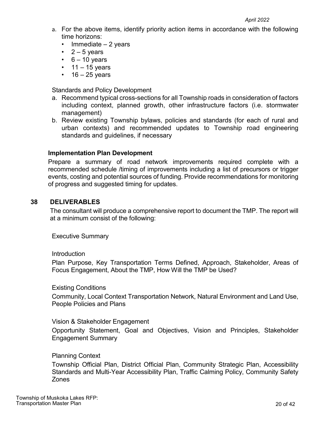#### *April 2022*

- a. For the above items, identify priority action items in accordance with the following time horizons:
	- Immediate 2 years
	- $2 5$  years
	- $\cdot$  6 10 years
	- $\cdot$  11 15 years
	- $\cdot$  16 25 years

Standards and Policy Development

- a. Recommend typical cross-sections for all Township roads in consideration of factors including context, planned growth, other infrastructure factors (i.e. stormwater management)
- b. Review existing Township bylaws, policies and standards (for each of rural and urban contexts) and recommended updates to Township road engineering standards and guidelines, if necessary

## **Implementation Plan Development**

Prepare a summary of road network improvements required complete with a recommended schedule /timing of improvements including a list of precursors or trigger events, costing and potential sources of funding. Provide recommendations for monitoring of progress and suggested timing for updates.

## <span id="page-19-0"></span>**38 DELIVERABLES**

The consultant will produce a comprehensive report to document the TMP. The report will at a minimum consist of the following:

Executive Summary

#### Introduction

Plan Purpose, Key Transportation Terms Defined, Approach, Stakeholder, Areas of Focus Engagement, About the TMP, How Will the TMP be Used?

#### Existing Conditions

Community, Local Context Transportation Network, Natural Environment and Land Use, People Policies and Plans

#### Vision & Stakeholder Engagement

Opportunity Statement, Goal and Objectives, Vision and Principles, Stakeholder Engagement Summary

#### Planning Context

Township Official Plan, District Official Plan, Community Strategic Plan, Accessibility Standards and Multi-Year Accessibility Plan, Traffic Calming Policy, Community Safety Zones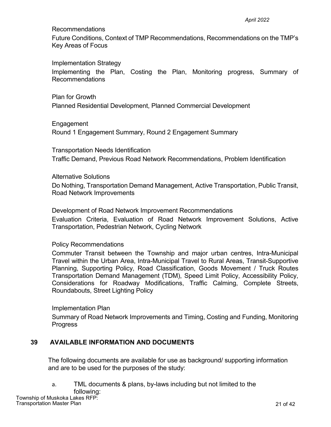Recommendations

Future Conditions, Context of TMP Recommendations, Recommendations on the TMP's Key Areas of Focus

Implementation Strategy

Implementing the Plan, Costing the Plan, Monitoring progress, Summary of Recommendations

Plan for Growth Planned Residential Development, Planned Commercial Development

Engagement Round 1 Engagement Summary, Round 2 Engagement Summary

Transportation Needs Identification Traffic Demand, Previous Road Network Recommendations, Problem Identification

Alternative Solutions

Do Nothing, Transportation Demand Management, Active Transportation, Public Transit, Road Network Improvements

Development of Road Network Improvement Recommendations Evaluation Criteria, Evaluation of Road Network Improvement Solutions, Active Transportation, Pedestrian Network, Cycling Network

Policy Recommendations

Commuter Transit between the Township and major urban centres, Intra-Municipal Travel within the Urban Area, Intra-Municipal Travel to Rural Areas, Transit-Supportive Planning, Supporting Policy, Road Classification, Goods Movement / Truck Routes Transportation Demand Management (TDM), Speed Limit Policy, Accessibility Policy, Considerations for Roadway Modifications, Traffic Calming, Complete Streets, Roundabouts, Street Lighting Policy

Implementation Plan

Summary of Road Network Improvements and Timing, Costing and Funding, Monitoring **Progress** 

# <span id="page-20-0"></span>**39 AVAILABLE INFORMATION AND DOCUMENTS**

The following documents are available for use as background/ supporting information and are to be used for the purposes of the study:

a. TML documents & plans, by-laws including but not limited to the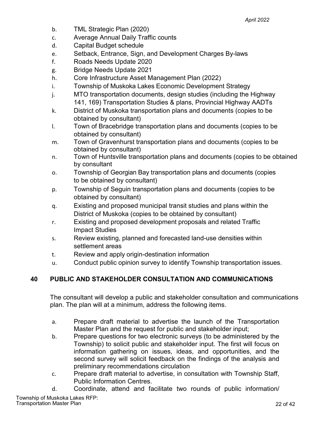- b. TML Strategic Plan (2020)
- c. Average Annual Daily Traffic counts
- d. Capital Budget schedule
- e. Setback, Entrance, Sign, and Development Charges By-laws
- f. Roads Needs Update 2020
- g. Bridge Needs Update 2021
- h. Core Infrastructure Asset Management Plan (2022)
- i. Township of Muskoka Lakes Economic Development Strategy
- j. MTO transportation documents, design studies (including the Highway 141, 169) Transportation Studies & plans, Provincial Highway AADTs
- k. District of Muskoka transportation plans and documents (copies to be obtained by consultant)
- l. Town of Bracebridge transportation plans and documents (copies to be obtained by consultant)
- m. Town of Gravenhurst transportation plans and documents (copies to be obtained by consultant)
- n. Town of Huntsville transportation plans and documents (copies to be obtained by consultant
- o. Township of Georgian Bay transportation plans and documents (copies to be obtained by consultant)
- p. Township of Seguin transportation plans and documents (copies to be obtained by consultant)
- q. Existing and proposed municipal transit studies and plans within the District of Muskoka (copies to be obtained by consultant)
- r. Existing and proposed development proposals and related Traffic Impact Studies
- s. Review existing, planned and forecasted land-use densities within settlement areas
- t. Review and apply origin-destination information
- u. Conduct public opinion survey to identify Township transportation issues.

# <span id="page-21-0"></span>**40 PUBLIC AND STAKEHOLDER CONSULTATION AND COMMUNICATIONS**

The consultant will develop a public and stakeholder consultation and communications plan. The plan will at a minimum, address the following items.

- a. Prepare draft material to advertise the launch of the Transportation Master Plan and the request for public and stakeholder input;
- b. Prepare questions for two electronic surveys (to be administered by the Township) to solicit public and stakeholder input. The first will focus on information gathering on issues, ideas, and opportunities, and the second survey will solicit feedback on the findings of the analysis and preliminary recommendations circulation
- c. Prepare draft material to advertise, in consultation with Township Staff, Public Information Centres.
- d. Coordinate, attend and facilitate two rounds of public information/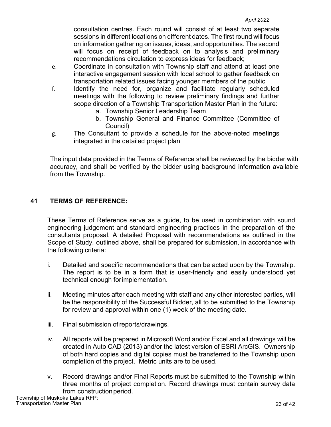consultation centres. Each round will consist of at least two separate sessions in different locations on different dates. The first round will focus on information gathering on issues, ideas, and opportunities. The second will focus on receipt of feedback on to analysis and preliminary recommendations circulation to express ideas for feedback;

- e. Coordinate in consultation with Township staff and attend at least one interactive engagement session with local school to gather feedback on transportation related issues facing younger members of the public
- f. Identify the need for, organize and facilitate regularly scheduled meetings with the following to review preliminary findings and further scope direction of a Township Transportation Master Plan in the future:
	- a. Township Senior Leadership Team
	- b. Township General and Finance Committee (Committee of Council)
- g. The Consultant to provide a schedule for the above-noted meetings integrated in the detailed project plan

The input data provided in the Terms of Reference shall be reviewed by the bidder with accuracy, and shall be verified by the bidder using background information available from the Township.

# <span id="page-22-0"></span>**41 TERMS OF REFERENCE:**

These Terms of Reference serve as a guide, to be used in combination with sound engineering judgement and standard engineering practices in the preparation of the consultants proposal. A detailed Proposal with recommendations as outlined in the Scope of Study, outlined above, shall be prepared for submission, in accordance with the following criteria:

- i. Detailed and specific recommendations that can be acted upon by the Township. The report is to be in a form that is user-friendly and easily understood yet technical enough forimplementation.
- ii. Meeting minutes after each meeting with staff and any other interested parties, will be the responsibility of the Successful Bidder, all to be submitted to the Township for review and approval within one (1) week of the meeting date.
- iii. Final submission ofreports/drawings.
- iv. All reports will be prepared in Microsoft Word and/or Excel and all drawings will be created in Auto CAD (2013) and/or the latest version of ESRI ArcGIS. Ownership of both hard copies and digital copies must be transferred to the Township upon completion of the project. Metric units are to be used.
- v. Record drawings and/or Final Reports must be submitted to the Township within three months of project completion. Record drawings must contain survey data from construction period.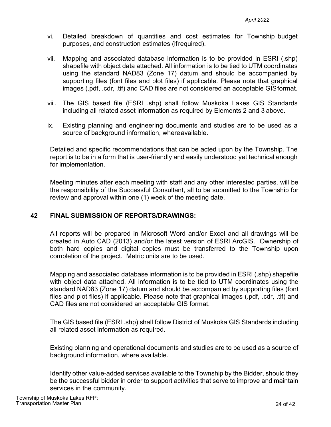- vi. Detailed breakdown of quantities and cost estimates for Township budget purposes, and construction estimates (ifrequired).
- vii. Mapping and associated database information is to be provided in ESRI (.shp) shapefile with object data attached. All information is to be tied to UTM coordinates using the standard NAD83 (Zone 17) datum and should be accompanied by supporting files (font files and plot files) if applicable. Please note that graphical images (.pdf, .cdr, .tif) and CAD files are not considered an acceptable GISformat.
- viii. The GIS based file (ESRI .shp) shall follow Muskoka Lakes GIS Standards including all related asset information as required by Elements 2 and 3 above.
- ix. Existing planning and engineering documents and studies are to be used as a source of background information, whereavailable.

Detailed and specific recommendations that can be acted upon by the Township. The report is to be in a form that is user-friendly and easily understood yet technical enough for implementation.

Meeting minutes after each meeting with staff and any other interested parties, will be the responsibility of the Successful Consultant, all to be submitted to the Township for review and approval within one (1) week of the meeting date.

#### <span id="page-23-0"></span>**42 FINAL SUBMISSION OF REPORTS/DRAWINGS:**

All reports will be prepared in Microsoft Word and/or Excel and all drawings will be created in Auto CAD (2013) and/or the latest version of ESRI ArcGIS. Ownership of both hard copies and digital copies must be transferred to the Township upon completion of the project. Metric units are to be used.

Mapping and associated database information is to be provided in ESRI (.shp) shapefile with object data attached. All information is to be tied to UTM coordinates using the standard NAD83 (Zone 17) datum and should be accompanied by supporting files (font files and plot files) if applicable. Please note that graphical images (.pdf, .cdr, .tif) and CAD files are not considered an acceptable GIS format.

The GIS based file (ESRI .shp) shall follow District of Muskoka GIS Standards including all related asset information as required.

Existing planning and operational documents and studies are to be used as a source of background information, where available.

Identify other value-added services available to the Township by the Bidder, should they be the successful bidder in order to support activities that serve to improve and maintain services in the community.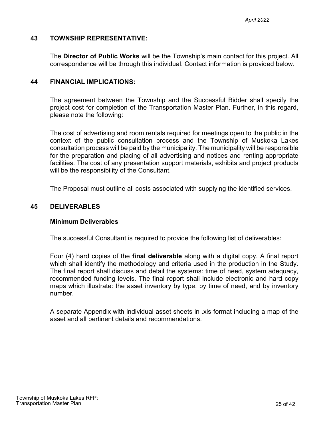#### <span id="page-24-0"></span>**43 TOWNSHIP REPRESENTATIVE:**

The **Director of Public Works** will be the Township's main contact for this project. All correspondence will be through this individual. Contact information is provided below.

#### <span id="page-24-1"></span>**44 FINANCIAL IMPLICATIONS:**

The agreement between the Township and the Successful Bidder shall specify the project cost for completion of the Transportation Master Plan. Further, in this regard, please note the following:

The cost of advertising and room rentals required for meetings open to the public in the context of the public consultation process and the Township of Muskoka Lakes consultation process will be paid by the municipality. The municipality will be responsible for the preparation and placing of all advertising and notices and renting appropriate facilities. The cost of any presentation support materials, exhibits and project products will be the responsibility of the Consultant.

The Proposal must outline all costs associated with supplying the identified services.

#### <span id="page-24-2"></span>**45 DELIVERABLES**

#### **Minimum Deliverables**

The successful Consultant is required to provide the following list of deliverables:

Four (4) hard copies of the **final deliverable** along with a digital copy. A final report which shall identify the methodology and criteria used in the production in the Study. The final report shall discuss and detail the systems: time of need, system adequacy, recommended funding levels. The final report shall include electronic and hard copy maps which illustrate: the asset inventory by type, by time of need, and by inventory number.

A separate Appendix with individual asset sheets in .xls format including a map of the asset and all pertinent details and recommendations.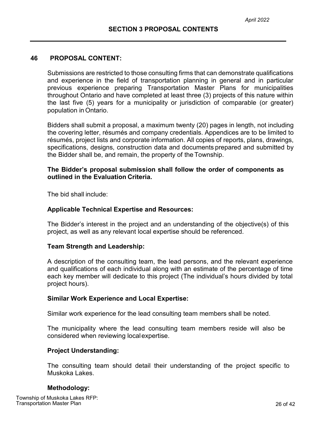#### <span id="page-25-0"></span>**46 PROPOSAL CONTENT:**

Submissions are restricted to those consulting firms that can demonstrate qualifications and experience in the field of transportation planning in general and in particular previous experience preparing Transportation Master Plans for municipalities throughout Ontario and have completed at least three (3) projects of this nature within the last five (5) years for a municipality or jurisdiction of comparable (or greater) population in Ontario.

Bidders shall submit a proposal, a maximum twenty (20) pages in length, not including the covering letter, résumés and company credentials. Appendices are to be limited to résumés, project lists and corporate information. All copies of reports, plans, drawings, specifications, designs, construction data and documents prepared and submitted by the Bidder shall be, and remain, the property of the Township.

#### **The Bidder's proposal submission shall follow the order of components as outlined in the Evaluation Criteria.**

The bid shall include:

#### **Applicable Technical Expertise and Resources:**

The Bidder's interest in the project and an understanding of the objective(s) of this project, as well as any relevant local expertise should be referenced.

#### **Team Strength and Leadership:**

A description of the consulting team, the lead persons, and the relevant experience and qualifications of each individual along with an estimate of the percentage of time each key member will dedicate to this project (The individual's hours divided by total project hours).

#### **Similar Work Experience and Local Expertise:**

Similar work experience for the lead consulting team members shall be noted.

The municipality where the lead consulting team members reside will also be considered when reviewing localexpertise.

#### **Project Understanding:**

The consulting team should detail their understanding of the project specific to Muskoka Lakes.

#### **Methodology:**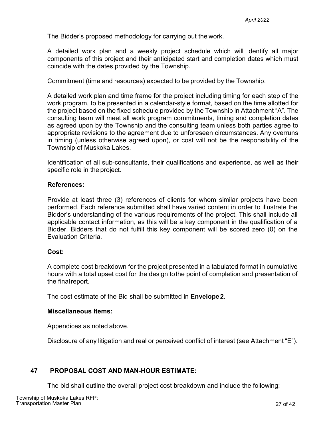The Bidder's proposed methodology for carrying out the work.

A detailed work plan and a weekly project schedule which will identify all major components of this project and their anticipated start and completion dates which must coincide with the dates provided by the Township.

Commitment (time and resources) expected to be provided by the Township.

A detailed work plan and time frame for the project including timing for each step of the work program, to be presented in a calendar-style format, based on the time allotted for the project based on the fixed schedule provided by the Township in Attachment "A". The consulting team will meet all work program commitments, timing and completion dates as agreed upon by the Township and the consulting team unless both parties agree to appropriate revisions to the agreement due to unforeseen circumstances. Any overruns in timing (unless otherwise agreed upon), or cost will not be the responsibility of the Township of Muskoka Lakes.

Identification of all sub-consultants, their qualifications and experience, as well as their specific role in the project.

#### **References:**

Provide at least three (3) references of clients for whom similar projects have been performed. Each reference submitted shall have varied content in order to illustrate the Bidder's understanding of the various requirements of the project. This shall include all applicable contact information, as this will be a key component in the qualification of a Bidder. Bidders that do not fulfill this key component will be scored zero (0) on the Evaluation Criteria*.*

#### **Cost:**

A complete cost breakdown for the project presented in a tabulated format in cumulative hours with a total upset cost for the design tothe point of completion and presentation of the finalreport.

The cost estimate of the Bid shall be submitted in **Envelope2**.

#### **Miscellaneous Items:**

Appendices as noted above.

Disclosure of any litigation and real or perceived conflict of interest (see Attachment "E").

#### **47 PROPOSAL COST AND MAN-HOUR ESTIMATE:**

The bid shall outline the overall project cost breakdown and include the following: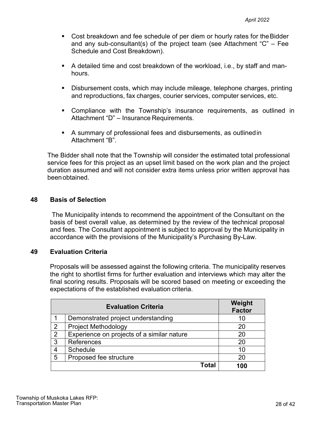- Cost breakdown and fee schedule of per diem or hourly rates for the Bidder and any sub-consultant(s) of the project team (see Attachment "C" – Fee Schedule and Cost Breakdown).
- A detailed time and cost breakdown of the workload, i.e., by staff and manhours.
- Disbursement costs, which may include mileage, telephone charges, printing and reproductions, fax charges, courier services, computer services, etc.
- Compliance with the Township's insurance requirements, as outlined in Attachment "D" – Insurance Requirements.
- A summary of professional fees and disbursements, as outlinedin Attachment "B".

The Bidder shall note that the Township will consider the estimated total professional service fees for this project as an upset limit based on the work plan and the project duration assumed and will not consider extra items unless prior written approval has beenobtained.

#### **48 Basis of Selection**

The Municipality intends to recommend the appointment of the Consultant on the basis of best overall value, as determined by the review of the technical proposal and fees. The Consultant appointment is subject to approval by the Municipality in accordance with the provisions of the Municipality's Purchasing By-Law.

#### **49 Evaluation Criteria**

Proposals will be assessed against the following criteria. The municipality reserves the right to shortlist firms for further evaluation and interviews which may alter the final scoring results. Proposals will be scored based on meeting or exceeding the expectations of the established evaluation criteria.

|   | <b>Evaluation Criteria</b>                 | Weight<br><b>Factor</b> |
|---|--------------------------------------------|-------------------------|
|   | Demonstrated project understanding         | 10                      |
| 2 | <b>Project Methodology</b>                 | 20                      |
| 2 | Experience on projects of a similar nature | 20                      |
| 3 | <b>References</b>                          | 20                      |
|   | Schedule                                   | 10                      |
| 5 | Proposed fee structure                     | 20                      |
|   | Total                                      | 100                     |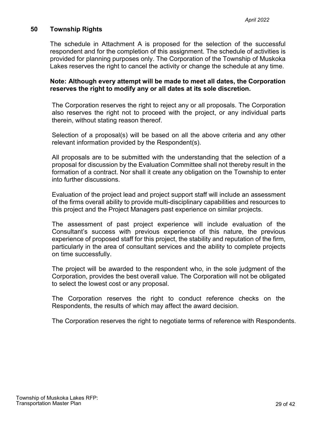#### **50 Township Rights**

The schedule in Attachment A is proposed for the selection of the successful respondent and for the completion of this assignment. The schedule of activities is provided for planning purposes only. The Corporation of the Township of Muskoka Lakes reserves the right to cancel the activity or change the schedule at any time.

#### **Note: Although every attempt will be made to meet all dates, the Corporation reserves the right to modify any or all dates at its sole discretion.**

The Corporation reserves the right to reject any or all proposals. The Corporation also reserves the right not to proceed with the project, or any individual parts therein, without stating reason thereof.

Selection of a proposal(s) will be based on all the above criteria and any other relevant information provided by the Respondent(s).

All proposals are to be submitted with the understanding that the selection of a proposal for discussion by the Evaluation Committee shall not thereby result in the formation of a contract. Nor shall it create any obligation on the Township to enter into further discussions.

Evaluation of the project lead and project support staff will include an assessment of the firms overall ability to provide multi-disciplinary capabilities and resources to this project and the Project Managers past experience on similar projects.

The assessment of past project experience will include evaluation of the Consultant's success with previous experience of this nature, the previous experience of proposed staff for this project, the stability and reputation of the firm, particularly in the area of consultant services and the ability to complete projects on time successfully.

The project will be awarded to the respondent who, in the sole judgment of the Corporation, provides the best overall value. The Corporation will not be obligated to select the lowest cost or any proposal.

The Corporation reserves the right to conduct reference checks on the Respondents, the results of which may affect the award decision.

The Corporation reserves the right to negotiate terms of reference with Respondents.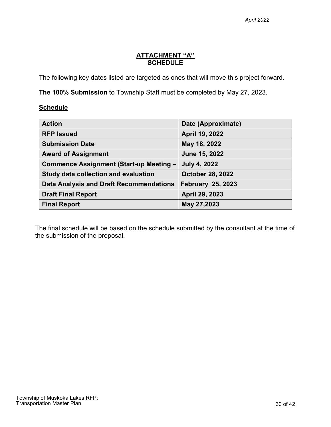# **ATTACHMENT "A" SCHEDULE**

<span id="page-29-0"></span>The following key dates listed are targeted as ones that will move this project forward.

**The 100% Submission** to Township Staff must be completed by May 27, 2023.

#### **Schedule**

| <b>Action</b>                                  | Date (Approximate)       |
|------------------------------------------------|--------------------------|
| <b>RFP Issued</b>                              | April 19, 2022           |
| <b>Submission Date</b>                         | May 18, 2022             |
| <b>Award of Assignment</b>                     | June 15, 2022            |
| <b>Commence Assignment (Start-up Meeting -</b> | <b>July 4, 2022</b>      |
| Study data collection and evaluation           | <b>October 28, 2022</b>  |
| Data Analysis and Draft Recommendations        | <b>February 25, 2023</b> |
| <b>Draft Final Report</b>                      | April 29, 2023           |
| <b>Final Report</b>                            | May 27,2023              |

The final schedule will be based on the schedule submitted by the consultant at the time of the submission of the proposal.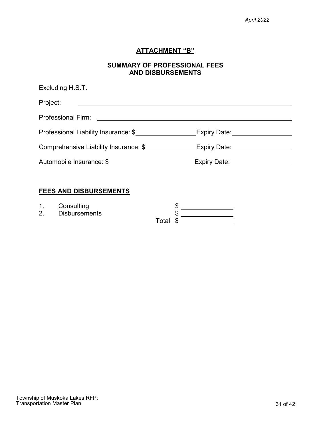## **ATTACHMENT "B"**

## **SUMMARY OF PROFESSIONAL FEES AND DISBURSEMENTS**

<span id="page-30-0"></span>

| Excluding H.S.T.                      |                              |  |  |  |  |
|---------------------------------------|------------------------------|--|--|--|--|
| Project:                              |                              |  |  |  |  |
| <b>Professional Firm:</b>             |                              |  |  |  |  |
| Professional Liability Insurance: \$  | Expiry Date: _______________ |  |  |  |  |
| Comprehensive Liability Insurance: \$ | Expiry Date: Expire          |  |  |  |  |
| Automobile Insurance: \$              | Expiry Date:___              |  |  |  |  |

# **FEES AND DISBURSEMENTS**

|  | Consulting |  |
|--|------------|--|
|--|------------|--|

1. Consulting  $\frac{1}{2}$  Disbursements  $\frac{1}{2}$   $\frac{1}{2}$   $\frac{1}{2}$   $\frac{1}{2}$   $\frac{1}{2}$   $\frac{1}{2}$   $\frac{1}{2}$   $\frac{1}{2}$   $\frac{1}{2}$   $\frac{1}{2}$   $\frac{1}{2}$   $\frac{1}{2}$   $\frac{1}{2}$   $\frac{1}{2}$   $\frac{1}{2}$   $\frac{1}{2}$   $\frac{1}{2}$   $\frac{1}{2}$   $\frac$ Total \$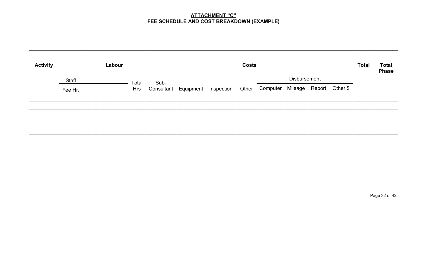## **ATTACHMENT "C" FEE SCHEDULE AND COST BREAKDOWN (EXAMPLE)**

<span id="page-31-0"></span>

| <b>Activity</b> |         | Labour |  |  | <b>Costs</b> |            |            |           | <b>Total</b> | <b>Total</b><br><b>Phase</b> |          |              |        |          |  |  |
|-----------------|---------|--------|--|--|--------------|------------|------------|-----------|--------------|------------------------------|----------|--------------|--------|----------|--|--|
|                 | Staff   |        |  |  |              | Total      | Sub-       |           |              |                              |          | Disbursement |        |          |  |  |
|                 | Fee Hr. |        |  |  |              | <b>Hrs</b> | Consultant | Equipment | Inspection   | Other                        | Computer | Mileage      | Report | Other \$ |  |  |
|                 |         |        |  |  |              |            |            |           |              |                              |          |              |        |          |  |  |
|                 |         |        |  |  |              |            |            |           |              |                              |          |              |        |          |  |  |
|                 |         |        |  |  |              |            |            |           |              |                              |          |              |        |          |  |  |
|                 |         |        |  |  |              |            |            |           |              |                              |          |              |        |          |  |  |
|                 |         |        |  |  |              |            |            |           |              |                              |          |              |        |          |  |  |
|                 |         |        |  |  |              |            |            |           |              |                              |          |              |        |          |  |  |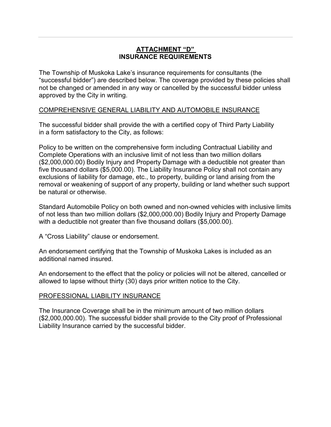# **ATTACHMENT "D" INSURANCE REQUIREMENTS**

<span id="page-32-0"></span>The Township of Muskoka Lake's insurance requirements for consultants (the "successful bidder") are described below. The coverage provided by these policies shall not be changed or amended in any way or cancelled by the successful bidder unless approved by the City in writing.

## COMPREHENSIVE GENERAL LIABILITY AND AUTOMOBILE INSURANCE

The successful bidder shall provide the with a certified copy of Third Party Liability in a form satisfactory to the City, as follows:

Policy to be written on the comprehensive form including Contractual Liability and Complete Operations with an inclusive limit of not less than two million dollars (\$2,000,000.00) Bodily Injury and Property Damage with a deductible not greater than five thousand dollars (\$5,000.00). The Liability Insurance Policy shall not contain any exclusions of liability for damage, etc., to property, building or land arising from the removal or weakening of support of any property, building or land whether such support be natural or otherwise.

Standard Automobile Policy on both owned and non-owned vehicles with inclusive limits of not less than two million dollars (\$2,000,000.00) Bodily Injury and Property Damage with a deductible not greater than five thousand dollars (\$5,000.00).

A "Cross Liability" clause or endorsement.

An endorsement certifying that the Township of Muskoka Lakes is included as an additional named insured.

An endorsement to the effect that the policy or policies will not be altered, cancelled or allowed to lapse without thirty (30) days prior written notice to the City.

# PROFESSIONAL LIABILITY INSURANCE

The Insurance Coverage shall be in the minimum amount of two million dollars (\$2,000,000.00). The successful bidder shall provide to the City proof of Professional Liability Insurance carried by the successful bidder.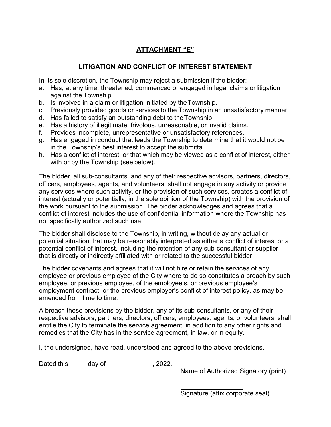# **ATTACHMENT "E"**

# **LITIGATION AND CONFLICT OF INTEREST STATEMENT**

<span id="page-33-0"></span>In its sole discretion, the Township may reject a submission if the bidder:

- a. Has, at any time, threatened, commenced or engaged in legal claims orlitigation against the Township.
- b. Is involved in a claim or litigation initiated by theTownship.
- c. Previously provided goods or services to the Township in an unsatisfactory manner.
- d. Has failed to satisfy an outstanding debt to theTownship.
- e. Has a history of illegitimate, frivolous, unreasonable, or invalid claims.
- f. Provides incomplete, unrepresentative or unsatisfactory references.
- g. Has engaged in conduct that leads the Township to determine that it would not be in the Township's best interest to accept the submittal.
- h. Has a conflict of interest, or that which may be viewed as a conflict of interest, either with or by the Township (see below).

The bidder, all sub-consultants, and any of their respective advisors, partners, directors, officers, employees, agents, and volunteers, shall not engage in any activity or provide any services where such activity, or the provision of such services, creates a conflict of interest (actually or potentially, in the sole opinion of the Township) with the provision of the work pursuant to the submission. The bidder acknowledges and agrees that a conflict of interest includes the use of confidential information where the Township has not specifically authorized such use.

The bidder shall disclose to the Township, in writing, without delay any actual or potential situation that may be reasonably interpreted as either a conflict of interest or a potential conflict of interest, including the retention of any sub-consultant or supplier that is directly or indirectly affiliated with or related to the successful bidder.

The bidder covenants and agrees that it will not hire or retain the services of any employee or previous employee of the City where to do so constitutes a breach by such employee, or previous employee, of the employee's, or previous employee's employment contract, or the previous employer's conflict of interest policy, as may be amended from time to time.

A breach these provisions by the bidder, any of its sub-consultants, or any of their respective advisors, partners, directors, officers, employees, agents, or volunteers, shall entitle the City to terminate the service agreement, in addition to any other rights and remedies that the City has in the service agreement, in law, or in equity.

I, the undersigned, have read, understood and agreed to the above provisions.

Dated this day of the set of the part of the part of the part of the part of the part of the part of the Data C

Name of Authorized Signatory (print)

Signature (affix corporate seal)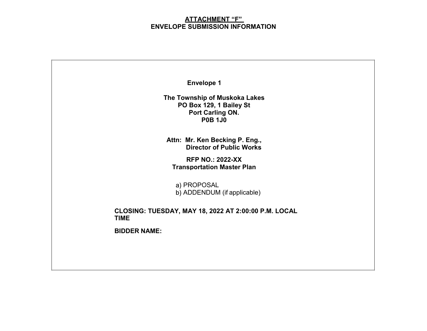#### **ATTACHMENT "F" ENVELOPE SUBMISSION INFORMATION**

<span id="page-34-0"></span>

| <b>Envelope 1</b>                                                                              |
|------------------------------------------------------------------------------------------------|
| The Township of Muskoka Lakes<br>PO Box 129, 1 Bailey St<br>Port Carling ON.<br><b>P0B 1J0</b> |
| Attn: Mr. Ken Becking P. Eng.,<br><b>Director of Public Works</b>                              |
| <b>RFP NO.: 2022-XX</b><br><b>Transportation Master Plan</b>                                   |
| a) PROPOSAL<br>b) ADDENDUM (if applicable)                                                     |
| CLOSING: TUESDAY, MAY 18, 2022 AT 2:00:00 P.M. LOCAL<br><b>TIME</b>                            |
| <b>BIDDER NAME:</b>                                                                            |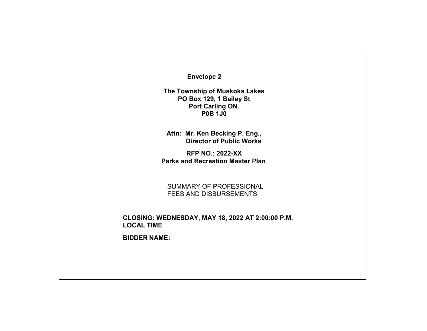**Envelope 2**

**The Township of Muskoka Lakes PO Box 129, 1 Bailey St Port Carling ON. P0B 1J0**

**Attn: Mr. Ken Becking P. Eng., Director of Public Works**

**RFP NO.: 2022-XX Parks and Recreation Master Plan**

SUMMARY OF PROFESSIONAL FEES AND DISBURSEMENTS

**CLOSING: WEDNESDAY, MAY 18, 2022 AT 2:00:00 P.M. LOCAL TIME**

**BIDDER NAME:**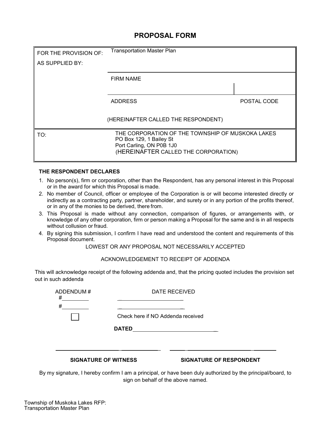# **PROPOSAL FORM**

<span id="page-36-0"></span>

| FOR THE PROVISION OF:                                                                                                                                  | <b>Transportation Master Plan</b>   |             |  |
|--------------------------------------------------------------------------------------------------------------------------------------------------------|-------------------------------------|-------------|--|
| AS SUPPLIED BY:                                                                                                                                        |                                     |             |  |
|                                                                                                                                                        | <b>FIRM NAME</b>                    |             |  |
|                                                                                                                                                        |                                     |             |  |
|                                                                                                                                                        | <b>ADDRESS</b>                      | POSTAL CODE |  |
|                                                                                                                                                        | (HEREINAFTER CALLED THE RESPONDENT) |             |  |
| THE CORPORATION OF THE TOWNSHIP OF MUSKOKA LAKES<br>TO:<br>PO Box 129, 1 Bailey St<br>Port Carling, ON P0B 1J0<br>(HEREINAFTER CALLED THE CORPORATION) |                                     |             |  |

#### **THE RESPONDENT DECLARES**

- 1. No person(s), firm or corporation, other than the Respondent, has any personal interest in this Proposal or in the award for which this Proposal is made.
- 2. No member of Council, officer or employee of the Corporation is or will become interested directly or indirectly as a contracting party, partner, shareholder, and surety or in any portion of the profits thereof, or in any of the monies to be derived, there from.
- 3. This Proposal is made without any connection, comparison of figures, or arrangements with, or knowledge of any other corporation, firm or person making a Proposal for the same and is in all respects without collusion or fraud.
- 4. By signing this submission, I confirm I have read and understood the content and requirements of this Proposal document.

LOWEST OR ANY PROPOSAL NOT NECESSARILY ACCEPTED

ACKNOWLEDGEMENT TO RECEIPT OF ADDENDA

This will acknowledge receipt of the following addenda and, that the pricing quoted includes the provision set out in such addenda

| ADDENDUM#<br>#<br>#         |              | DATE RECEIVED                     |
|-----------------------------|--------------|-----------------------------------|
|                             | <b>DATED</b> | Check here if NO Addenda received |
|                             |              |                                   |
| <b>SIGNATURE OF WITNESS</b> |              | <b>SIGNATURE OF RESPONDENT</b>    |

By my signature, I hereby confirm I am a principal, or have been duly authorized by the principal/board, to sign on behalf of the above named.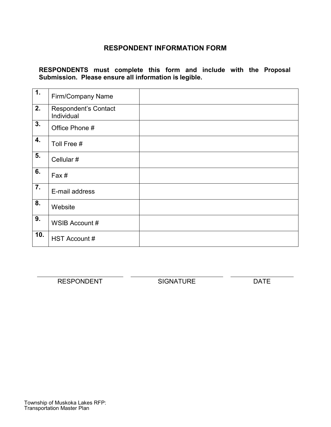# **RESPONDENT INFORMATION FORM**

<span id="page-37-0"></span>**RESPONDENTS must complete this form and include with the Proposal Submission. Please ensure all information is legible.**

| $\overline{1}$ .          | <b>Firm/Company Name</b>                  |  |
|---------------------------|-------------------------------------------|--|
| 2.                        | <b>Respondent's Contact</b><br>Individual |  |
| $\overline{3}$ .          | Office Phone #                            |  |
| 4.                        | Toll Free #                               |  |
| 5.                        | Cellular #                                |  |
| 6.                        | Fax#                                      |  |
| $\overline{7}$ .          | E-mail address                            |  |
| $\overline{\mathbf{8}}$ . | Website                                   |  |
| 9.                        | WSIB Account #                            |  |
| 10.                       | HST Account #                             |  |

RESPONDENT SIGNATURE DATE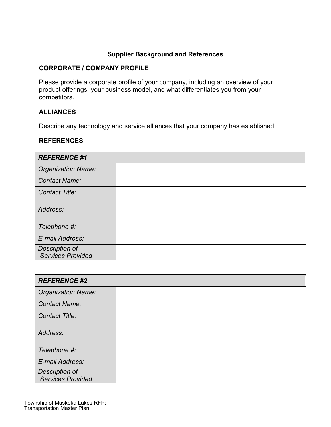# **Supplier Background and References**

## **CORPORATE / COMPANY PROFILE**

Please provide a corporate profile of your company, including an overview of your product offerings, your business model, and what differentiates you from your competitors.

# **ALLIANCES**

Describe any technology and service alliances that your company has established.

#### **REFERENCES**

| <b>REFERENCE #1</b>                        |  |  |  |  |
|--------------------------------------------|--|--|--|--|
| <b>Organization Name:</b>                  |  |  |  |  |
| <b>Contact Name:</b>                       |  |  |  |  |
| <b>Contact Title:</b>                      |  |  |  |  |
| Address:                                   |  |  |  |  |
| Telephone #:                               |  |  |  |  |
| E-mail Address:                            |  |  |  |  |
| Description of<br><b>Services Provided</b> |  |  |  |  |

| <b>REFERENCE #2</b>                        |  |  |  |  |
|--------------------------------------------|--|--|--|--|
| <b>Organization Name:</b>                  |  |  |  |  |
| <b>Contact Name:</b>                       |  |  |  |  |
| <b>Contact Title:</b>                      |  |  |  |  |
| Address:                                   |  |  |  |  |
| Telephone #:                               |  |  |  |  |
| E-mail Address:                            |  |  |  |  |
| Description of<br><b>Services Provided</b> |  |  |  |  |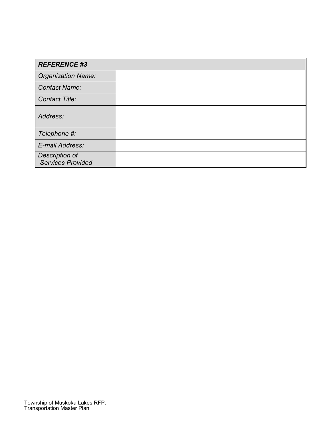| <b>REFERENCE #3</b>                        |  |  |  |  |
|--------------------------------------------|--|--|--|--|
| <b>Organization Name:</b>                  |  |  |  |  |
| <b>Contact Name:</b>                       |  |  |  |  |
| <b>Contact Title:</b>                      |  |  |  |  |
| Address:                                   |  |  |  |  |
| Telephone #:                               |  |  |  |  |
| E-mail Address:                            |  |  |  |  |
| Description of<br><b>Services Provided</b> |  |  |  |  |